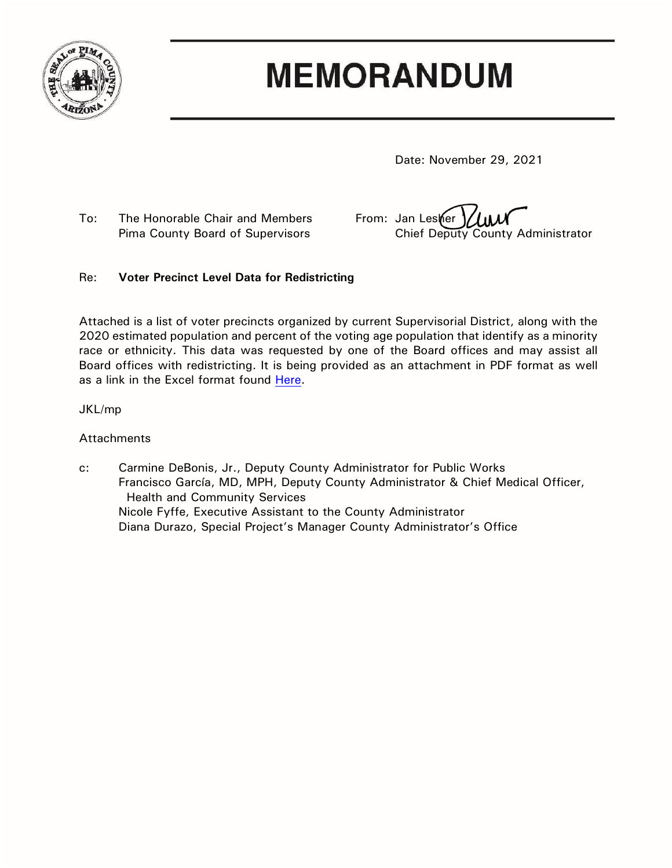

## **MEMORANDUM**

Date: November 29, 2021

To: The Honorable Chair and Members From: Jan Lester

Pima County Board of Supervisors Chief Deputy County Administrator

## Re: **Voter Precinct Level Data for Redistricting**

Attached is a list of voter precincts organized by current Supervisorial District, along with the 2020 estimated population and percent of the voting age population that identify as a minority race or ethnicity. This data was requested by one of the Board offices and may assist all Board offices with redistricting. It is being provided as an attachment in PDF format as well as a link in the Excel format found [Here.](https://webcms.pima.gov/UserFiles/Servers/Server_6/File/Government/Administration/Links%20for%20hidden%20pages/Voter%20precincts%20population...xlsx)

## JKL/mp

## Attachments

c: Carmine DeBonis, Jr., Deputy County Administrator for Public Works Francisco García, MD, MPH, Deputy County Administrator & Chief Medical Officer, Health and Community Services Nicole Fyffe, Executive Assistant to the County Administrator Diana Durazo, Special Project's Manager County Administrator's Office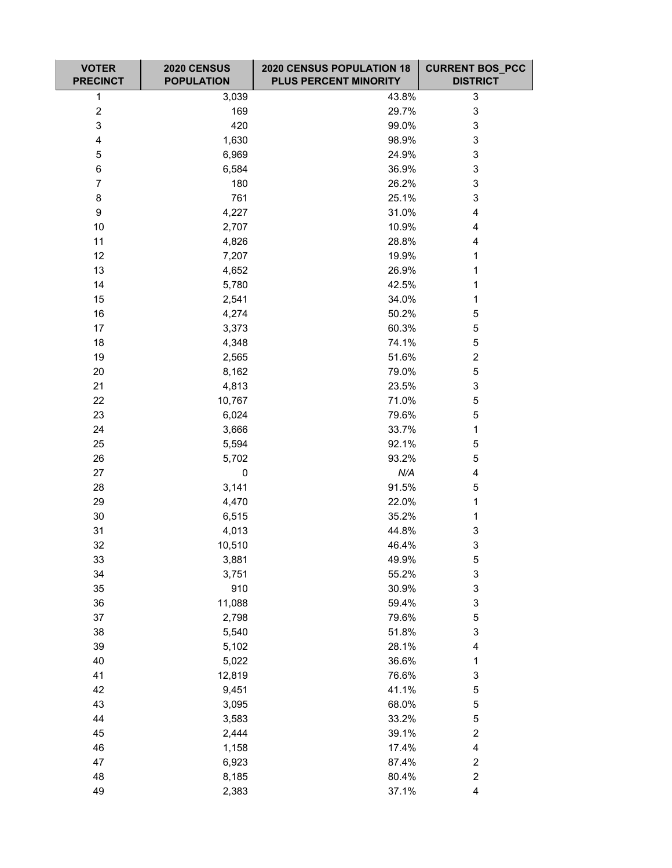| <b>VOTER</b><br><b>PRECINCT</b> | 2020 CENSUS<br><b>POPULATION</b> | 2020 CENSUS POPULATION 18<br><b>PLUS PERCENT MINORITY</b> | <b>CURRENT BOS_PCC</b><br><b>DISTRICT</b> |
|---------------------------------|----------------------------------|-----------------------------------------------------------|-------------------------------------------|
| $\mathbf 1$                     | 3,039                            | 43.8%                                                     | 3                                         |
| $\overline{c}$                  | 169                              | 29.7%                                                     | 3                                         |
| 3                               | 420                              | 99.0%                                                     | 3                                         |
| 4                               | 1,630                            | 98.9%                                                     | 3                                         |
| 5                               | 6,969                            | 24.9%                                                     | 3                                         |
| 6                               | 6,584                            | 36.9%                                                     | 3                                         |
| $\overline{7}$                  | 180                              | 26.2%                                                     | 3                                         |
| 8                               | 761                              | 25.1%                                                     | 3                                         |
| 9                               | 4,227                            | 31.0%                                                     | 4                                         |
| 10                              | 2,707                            | 10.9%                                                     | 4                                         |
| 11                              | 4,826                            | 28.8%                                                     | 4                                         |
| 12                              | 7,207                            | 19.9%                                                     | 1                                         |
| 13                              | 4,652                            | 26.9%                                                     | 1                                         |
| 14                              | 5,780                            | 42.5%                                                     | 1                                         |
| 15                              | 2,541                            | 34.0%                                                     | 1                                         |
| 16                              | 4,274                            | 50.2%                                                     | 5                                         |
| 17                              | 3,373                            | 60.3%                                                     | 5                                         |
| 18                              | 4,348                            | 74.1%                                                     | 5                                         |
| 19                              | 2,565                            | 51.6%                                                     | $\overline{\mathbf{c}}$                   |
| 20                              | 8,162                            | 79.0%                                                     | 5                                         |
| 21                              | 4,813                            | 23.5%                                                     | 3                                         |
| 22                              | 10,767                           | 71.0%                                                     | 5                                         |
| 23                              | 6,024                            | 79.6%                                                     | 5                                         |
| 24                              | 3,666                            | 33.7%                                                     | 1                                         |
| 25                              | 5,594                            | 92.1%                                                     | 5                                         |
| 26                              | 5,702                            | 93.2%                                                     | 5                                         |
| 27                              | $\pmb{0}$                        | N/A                                                       | 4                                         |
| 28                              | 3,141                            | 91.5%                                                     | 5                                         |
| 29                              | 4,470                            | 22.0%                                                     | 1                                         |
| 30                              | 6,515                            | 35.2%                                                     | 1                                         |
| 31                              | 4,013                            | 44.8%                                                     | 3                                         |
| 32                              | 10,510                           | 46.4%                                                     | 3                                         |
| 33                              | 3,881                            | 49.9%                                                     | $\mathbf 5$                               |
| 34                              | 3,751                            | 55.2%                                                     | 3                                         |
| 35                              | 910                              | 30.9%                                                     | 3                                         |
| 36                              | 11,088                           | 59.4%                                                     | 3                                         |
| 37                              | 2,798                            | 79.6%                                                     | 5                                         |
| 38                              | 5,540                            | 51.8%                                                     | 3                                         |
| 39                              | 5,102                            | 28.1%                                                     | 4                                         |
| 40                              | 5,022                            | 36.6%                                                     | $\mathbf 1$                               |
| 41                              | 12,819                           | 76.6%                                                     | 3                                         |
| 42                              | 9,451                            | 41.1%                                                     | 5                                         |
| 43                              | 3,095                            | 68.0%                                                     | 5                                         |
| 44                              | 3,583                            | 33.2%                                                     | 5                                         |
| 45                              | 2,444                            | 39.1%                                                     | $\overline{c}$                            |
| 46                              | 1,158                            | 17.4%                                                     | 4                                         |
| 47                              | 6,923                            | 87.4%                                                     | $\overline{c}$                            |
| 48                              | 8,185                            | 80.4%                                                     | $\overline{\mathbf{c}}$                   |
| 49                              | 2,383                            | 37.1%                                                     | 4                                         |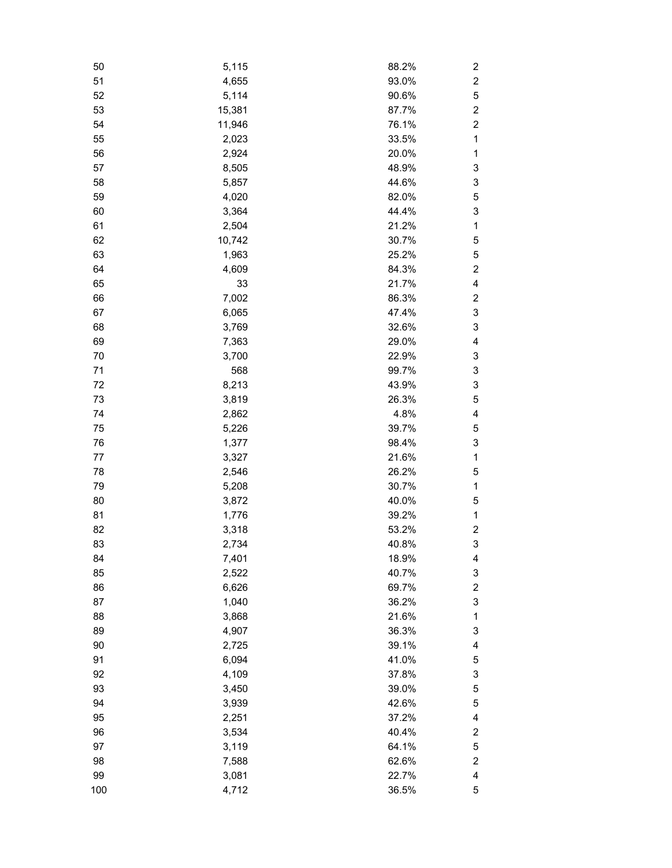| 50  | 5,115  | 88.2% | 2              |
|-----|--------|-------|----------------|
| 51  | 4,655  | 93.0% | $\overline{c}$ |
| 52  | 5,114  | 90.6% | 5              |
| 53  | 15,381 | 87.7% | $\overline{c}$ |
| 54  | 11,946 | 76.1% | $\overline{2}$ |
| 55  | 2,023  | 33.5% | $\mathbf{1}$   |
| 56  | 2,924  | 20.0% | 1              |
| 57  | 8,505  | 48.9% | 3              |
| 58  | 5,857  | 44.6% | 3              |
| 59  | 4,020  | 82.0% | 5              |
| 60  | 3,364  | 44.4% | 3              |
| 61  | 2,504  | 21.2% | 1              |
| 62  | 10,742 | 30.7% | 5              |
| 63  | 1,963  | 25.2% | 5              |
| 64  | 4,609  | 84.3% | $\overline{c}$ |
| 65  | 33     | 21.7% | 4              |
| 66  | 7,002  | 86.3% | 2              |
| 67  | 6,065  | 47.4% | 3              |
| 68  | 3,769  | 32.6% | 3              |
| 69  | 7,363  | 29.0% | 4              |
| 70  | 3,700  | 22.9% | 3              |
| 71  | 568    | 99.7% | 3              |
| 72  | 8,213  | 43.9% | 3              |
| 73  | 3,819  | 26.3% | 5              |
| 74  | 2,862  | 4.8%  | 4              |
| 75  | 5,226  | 39.7% | 5              |
| 76  | 1,377  | 98.4% | 3              |
| 77  | 3,327  | 21.6% | 1              |
| 78  | 2,546  | 26.2% | 5              |
| 79  | 5,208  | 30.7% | 1              |
| 80  | 3,872  | 40.0% | 5              |
| 81  | 1,776  | 39.2% | 1              |
| 82  | 3,318  | 53.2% | 2              |
| 83  | 2,734  | 40.8% | 3              |
| 84  | 7,401  | 18.9% | 4              |
| 85  | 2,522  | 40.7% | 3              |
| 86  | 6,626  | 69.7% | 2              |
| 87  | 1,040  | 36.2% | 3              |
| 88  | 3,868  | 21.6% | 1              |
| 89  | 4,907  | 36.3% | 3              |
| 90  | 2,725  | 39.1% | 4              |
| 91  | 6,094  | 41.0% | 5              |
| 92  | 4,109  | 37.8% | 3              |
| 93  | 3,450  | 39.0% | 5              |
| 94  | 3,939  | 42.6% | 5              |
| 95  | 2,251  | 37.2% | 4              |
| 96  | 3,534  | 40.4% | 2              |
| 97  | 3,119  | 64.1% | 5              |
| 98  | 7,588  | 62.6% | $\overline{c}$ |
| 99  | 3,081  | 22.7% | 4              |
| 100 | 4,712  | 36.5% | 5              |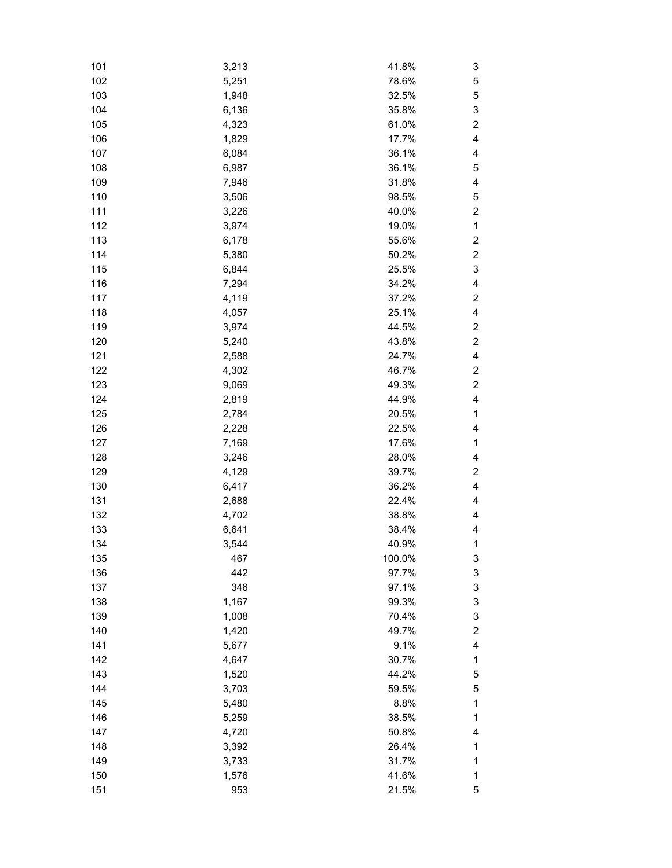| 101 | 3,213 | 41.8%  | 3              |
|-----|-------|--------|----------------|
| 102 | 5,251 | 78.6%  | 5              |
| 103 | 1,948 | 32.5%  | 5              |
| 104 | 6,136 | 35.8%  | 3              |
| 105 | 4,323 | 61.0%  | $\overline{c}$ |
| 106 | 1,829 | 17.7%  | 4              |
| 107 | 6,084 | 36.1%  | 4              |
| 108 | 6,987 | 36.1%  | 5              |
| 109 | 7,946 | 31.8%  | 4              |
| 110 | 3,506 | 98.5%  | 5              |
| 111 | 3,226 | 40.0%  | $\overline{c}$ |
| 112 | 3,974 | 19.0%  | $\mathbf 1$    |
| 113 | 6,178 | 55.6%  | 2              |
| 114 | 5,380 | 50.2%  | $\overline{c}$ |
| 115 | 6,844 | 25.5%  | 3              |
| 116 | 7,294 | 34.2%  | 4              |
| 117 | 4,119 | 37.2%  | 2              |
| 118 | 4,057 | 25.1%  | 4              |
| 119 | 3,974 | 44.5%  | $\overline{c}$ |
| 120 | 5,240 | 43.8%  | $\overline{c}$ |
| 121 | 2,588 | 24.7%  | 4              |
| 122 | 4,302 | 46.7%  | 2              |
| 123 | 9,069 | 49.3%  | $\overline{c}$ |
| 124 | 2,819 | 44.9%  | 4              |
| 125 | 2,784 | 20.5%  | $\mathbf{1}$   |
| 126 | 2,228 | 22.5%  | 4              |
| 127 |       | 17.6%  | $\mathbf 1$    |
|     | 7,169 |        |                |
| 128 | 3,246 | 28.0%  | 4              |
| 129 | 4,129 | 39.7%  | $\overline{c}$ |
| 130 | 6,417 | 36.2%  | 4              |
| 131 | 2,688 | 22.4%  | 4              |
| 132 | 4,702 | 38.8%  | 4              |
| 133 | 6,641 | 38.4%  | 4              |
| 134 | 3,544 | 40.9%  | 1              |
| 135 | 467   | 100.0% | 3              |
| 136 | 442   | 97.7%  | 3              |
| 137 | 346   | 97.1%  | 3              |
| 138 | 1,167 | 99.3%  | 3              |
| 139 | 1,008 | 70.4%  | 3              |
| 140 | 1,420 | 49.7%  | $\overline{c}$ |
| 141 | 5,677 | 9.1%   | 4              |
| 142 | 4,647 | 30.7%  | 1              |
| 143 | 1,520 | 44.2%  | 5              |
| 144 | 3,703 | 59.5%  | 5              |
| 145 | 5,480 | 8.8%   | 1              |
| 146 | 5,259 | 38.5%  | 1              |
| 147 | 4,720 | 50.8%  | 4              |
| 148 | 3,392 | 26.4%  | 1              |
| 149 | 3,733 | 31.7%  | 1              |
| 150 | 1,576 | 41.6%  | 1              |
| 151 | 953   | 21.5%  | 5              |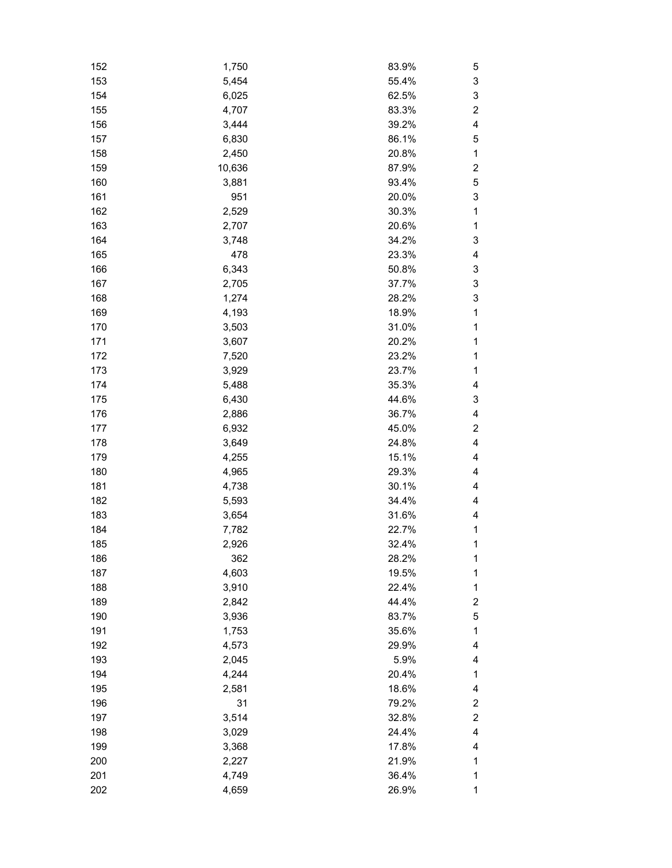| 152 | 1,750  | 83.9% | 5                       |
|-----|--------|-------|-------------------------|
| 153 | 5,454  | 55.4% | 3                       |
| 154 | 6,025  | 62.5% | 3                       |
| 155 | 4,707  | 83.3% | $\overline{c}$          |
| 156 | 3,444  | 39.2% | 4                       |
| 157 | 6,830  | 86.1% | 5                       |
| 158 | 2,450  | 20.8% | 1                       |
| 159 | 10,636 | 87.9% | $\overline{c}$          |
| 160 | 3,881  | 93.4% | 5                       |
| 161 | 951    | 20.0% | 3                       |
| 162 | 2,529  | 30.3% | 1                       |
| 163 | 2,707  | 20.6% | 1                       |
| 164 | 3,748  | 34.2% | 3                       |
| 165 | 478    | 23.3% | 4                       |
| 166 | 6,343  | 50.8% | 3                       |
| 167 | 2,705  | 37.7% | 3                       |
| 168 | 1,274  | 28.2% | 3                       |
| 169 | 4,193  | 18.9% | 1                       |
| 170 | 3,503  | 31.0% | 1                       |
| 171 | 3,607  | 20.2% | 1                       |
| 172 | 7,520  | 23.2% | 1                       |
| 173 | 3,929  | 23.7% | 1                       |
| 174 | 5,488  | 35.3% | 4                       |
| 175 | 6,430  | 44.6% | 3                       |
| 176 | 2,886  | 36.7% | 4                       |
| 177 | 6,932  | 45.0% | $\overline{c}$          |
| 178 | 3,649  | 24.8% | 4                       |
| 179 | 4,255  | 15.1% | 4                       |
| 180 | 4,965  | 29.3% | 4                       |
| 181 | 4,738  | 30.1% | 4                       |
| 182 |        | 34.4% | 4                       |
| 183 | 5,593  | 31.6% | 4                       |
|     | 3,654  |       |                         |
| 184 | 7,782  | 22.7% | 1                       |
| 185 | 2,926  | 32.4% | 1                       |
| 186 | 362    | 28.2% | 1                       |
| 187 | 4,603  | 19.5% | 1                       |
| 188 | 3,910  | 22.4% | 1                       |
| 189 | 2,842  | 44.4% | $\overline{\mathbf{c}}$ |
| 190 | 3,936  | 83.7% | 5                       |
| 191 | 1,753  | 35.6% | 1                       |
| 192 | 4,573  | 29.9% | 4                       |
| 193 | 2,045  | 5.9%  | 4                       |
| 194 | 4,244  | 20.4% | 1                       |
| 195 | 2,581  | 18.6% | 4                       |
| 196 | 31     | 79.2% | $\overline{\mathbf{c}}$ |
| 197 | 3,514  | 32.8% | $\overline{\mathbf{c}}$ |
| 198 | 3,029  | 24.4% | 4                       |
| 199 | 3,368  | 17.8% | 4                       |
| 200 | 2,227  | 21.9% | 1                       |
| 201 | 4,749  | 36.4% | 1                       |
| 202 | 4,659  | 26.9% | 1                       |